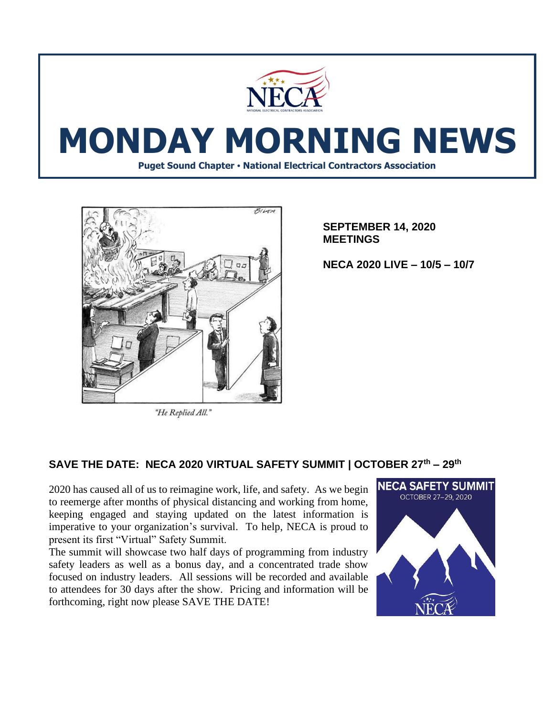

# **MONDAY MORNING NEWS**

**Puget Sound Chapter • National Electrical Contractors Association**



"He Replied All."

**SEPTEMBER 14, 2020 MEETINGS**

**NECA 2020 LIVE – 10/5 – 10/7**

## **SAVE THE DATE: NECA 2020 VIRTUAL SAFETY SUMMIT | OCTOBER 27th – 29th**

2020 has caused all of us to reimagine work, life, and safety. As we begin to reemerge after months of physical distancing and working from home, keeping engaged and staying updated on the latest information is imperative to your organization's survival. To help, NECA is proud to present its first "Virtual" Safety Summit.

The summit will showcase two half days of programming from industry safety leaders as well as a bonus day, and a concentrated trade show focused on industry leaders. All sessions will be recorded and available to attendees for 30 days after the show. Pricing and information will be forthcoming, right now please SAVE THE DATE!

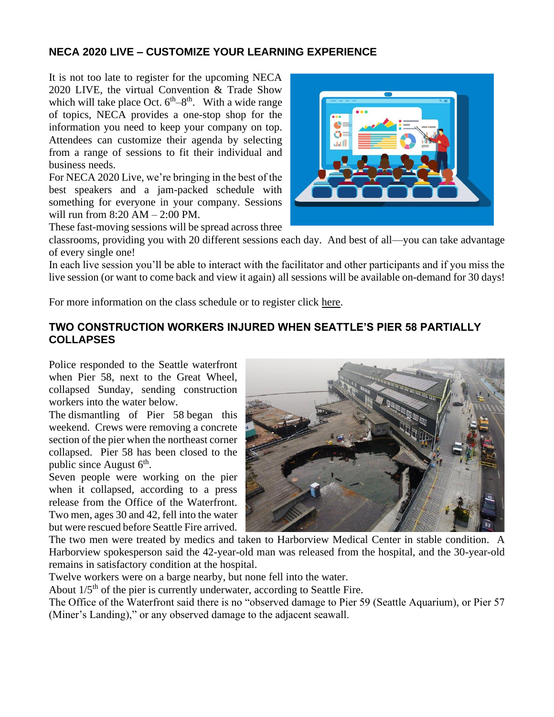## **NECA 2020 LIVE – CUSTOMIZE YOUR LEARNING EXPERIENCE**

It is not too late to register for the upcoming NECA 2020 LIVE, the virtual Convention & Trade Show which will take place Oct.  $6<sup>th</sup>-8<sup>th</sup>$ . With a wide range of topics, NECA provides a one-stop shop for the information you need to keep your company on top. Attendees can customize their agenda by selecting from a range of sessions to fit their individual and business needs.

For NECA 2020 Live, we're bringing in the best of the best speakers and a jam-packed schedule with something for everyone in your company. Sessions will run from 8:20 AM – 2:00 PM.



These fast-moving sessions will be spread across three

classrooms, providing you with 20 different sessions each day. And best of all—you can take advantage of every single one!

In each live session you'll be able to interact with the facilitator and other participants and if you miss the live session (or want to come back and view it again) all sessions will be available on-demand for 30 days!

For more information on the class schedule or to register click [here.](https://www.necaconvention.org/convention/schedule/)

#### **TWO CONSTRUCTION WORKERS INJURED WHEN SEATTLE'S PIER 58 PARTIALLY COLLAPSES**

Police responded to the Seattle waterfront when Pier 58, next to the Great Wheel, collapsed Sunday, sending construction workers into the water below.

The [dismantling of Pier 58](https://www.king5.com/article/news/local/seattle/removal-of-seattles-pier-58-starts-this-weekend/281-47806f3e-bdde-4df3-b941-a23b2a22c772) began this weekend. Crews were removing a concrete section of the pier when the northeast corner collapsed. Pier 58 has been closed to the public since August  $6<sup>th</sup>$ .

Seven people were working on the pier when it collapsed, according to a press release from the Office of the Waterfront. Two men, ages 30 and 42, fell into the water but were rescued before Seattle Fire arrived.



The two men were treated by medics and taken to Harborview Medical Center in stable condition. A Harborview spokesperson said the 42-year-old man was released from the hospital, and the 30-year-old remains in satisfactory condition at the hospital.

Twelve workers were on a barge nearby, but none fell into the water.

About  $1/5<sup>th</sup>$  of the pier is currently underwater, according to Seattle Fire.

The Office of the Waterfront said there is no "observed damage to Pier 59 (Seattle Aquarium), or Pier 57 (Miner's Landing)," or any observed damage to the adjacent seawall.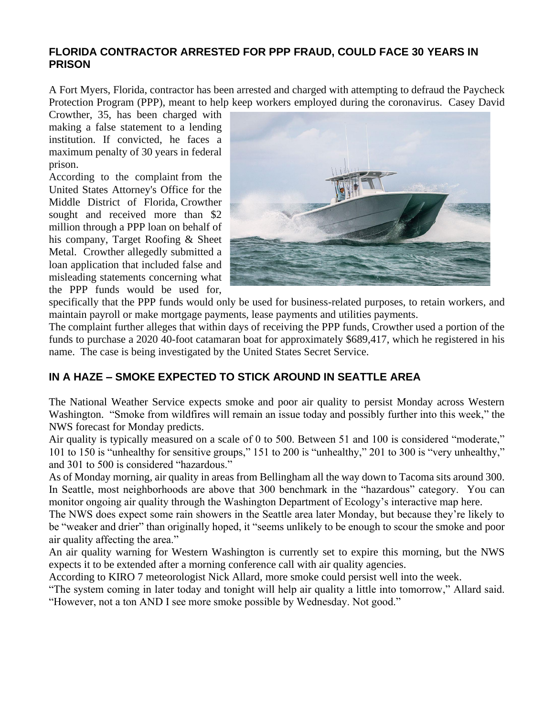### **FLORIDA CONTRACTOR ARRESTED FOR PPP FRAUD, COULD FACE 30 YEARS IN PRISON**

A Fort Myers, Florida, contractor has been arrested and charged with attempting to defraud the Paycheck Protection Program (PPP), meant to help keep workers employed during the coronavirus. Casey David

Crowther, 35, has been charged with making a false statement to a lending institution. If convicted, he faces a maximum penalty of 30 years in federal prison.

[According to the complaint](https://www.justice.gov/usao-mdfl/pr/fort-myers-business-owner-arrested-and-charged-covid-relief-fraud#:~:text=Fort%20Myers%2C%20Florida%20%E2%80%93%20United%20States,30%20years%20in%20federal%20prison) from the United States Attorney's Office for the Middle District of Florida, Crowther sought and received more than \$2 million through a PPP loan on behalf of his company, Target Roofing & Sheet Metal. Crowther allegedly submitted a loan application that included false and misleading statements concerning what the PPP funds would be used for,



specifically that the PPP funds would only be used for business-related purposes, to retain workers, and maintain payroll or make mortgage payments, lease payments and utilities payments.

The complaint further alleges that within days of receiving the PPP funds, Crowther used a portion of the funds to purchase a 2020 40-foot catamaran boat for approximately \$689,417, which he registered in his name. The case is being investigated by the United States Secret Service.

## **IN A HAZE – SMOKE EXPECTED TO STICK AROUND IN SEATTLE AREA**

The National Weather Service expects smoke and poor air quality to persist Monday across Western Washington. "Smoke from wildfires will remain an issue today and possibly further into this week," [the](https://forecast.weather.gov/product.php?site=NWS&issuedby=SEW&product=AFD&format=CI&version=1&glossary=1&highlight=off)  [NWS forecast](https://forecast.weather.gov/product.php?site=NWS&issuedby=SEW&product=AFD&format=CI&version=1&glossary=1&highlight=off) for Monday predicts.

Air quality is typically measured on a scale of 0 to 500. Between 51 and 100 is considered "moderate," 101 to 150 is "unhealthy for sensitive groups," 151 to 200 is "unhealthy," 201 to 300 is "very unhealthy," and 301 to 500 is considered "hazardous."

As of Monday morning, air quality in areas from Bellingham all the way down to Tacoma sits around 300. In Seattle, most neighborhoods are above that 300 benchmark in the "hazardous" category. You can monitor ongoing air quality through the Washington Department of Ecology's interactive map [here.](https://enviwa.ecology.wa.gov/home/map)

The NWS does expect some rain showers in the Seattle area later Monday, but because they're likely to be "weaker and drier" than originally hoped, it "seems unlikely to be enough to scour the smoke and poor air quality affecting the area."

An air quality warning for Western Washington is currently set to expire this morning, but the NWS expects it to be extended after a morning conference call with air quality agencies.

According [to KIRO 7 meteorologist Nick Allard,](https://twitter.com/NickAllardKIRO7/status/1305485226768887808) more smoke could persist well into the week.

"The system coming in later today and tonight will help air quality a little into tomorrow," Allard said. "However, not a ton AND I see more smoke possible by Wednesday. Not good."